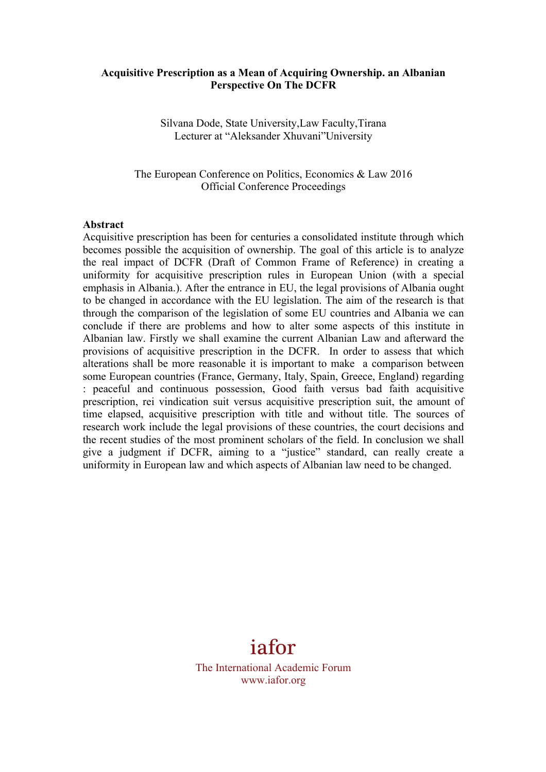#### **Acquisitive Prescription as a Mean of Acquiring Ownership. an Albanian Perspective On The DCFR**

Silvana Dode, State University,Law Faculty,Tirana Lecturer at "Aleksander Xhuvani"University

The European Conference on Politics, Economics & Law 2016 Official Conference Proceedings

#### **Abstract**

Acquisitive prescription has been for centuries a consolidated institute through which becomes possible the acquisition of ownership. The goal of this article is to analyze the real impact of DCFR (Draft of Common Frame of Reference) in creating a uniformity for acquisitive prescription rules in European Union (with a special emphasis in Albania.). After the entrance in EU, the legal provisions of Albania ought to be changed in accordance with the EU legislation. The aim of the research is that through the comparison of the legislation of some EU countries and Albania we can conclude if there are problems and how to alter some aspects of this institute in Albanian law. Firstly we shall examine the current Albanian Law and afterward the provisions of acquisitive prescription in the DCFR. In order to assess that which alterations shall be more reasonable it is important to make a comparison between some European countries (France, Germany, Italy, Spain, Greece, England) regarding : peaceful and continuous possession, Good faith versus bad faith acquisitive prescription, rei vindication suit versus acquisitive prescription suit, the amount of time elapsed, acquisitive prescription with title and without title. The sources of research work include the legal provisions of these countries, the court decisions and the recent studies of the most prominent scholars of the field. In conclusion we shall give a judgment if DCFR, aiming to a "justice" standard, can really create a uniformity in European law and which aspects of Albanian law need to be changed.

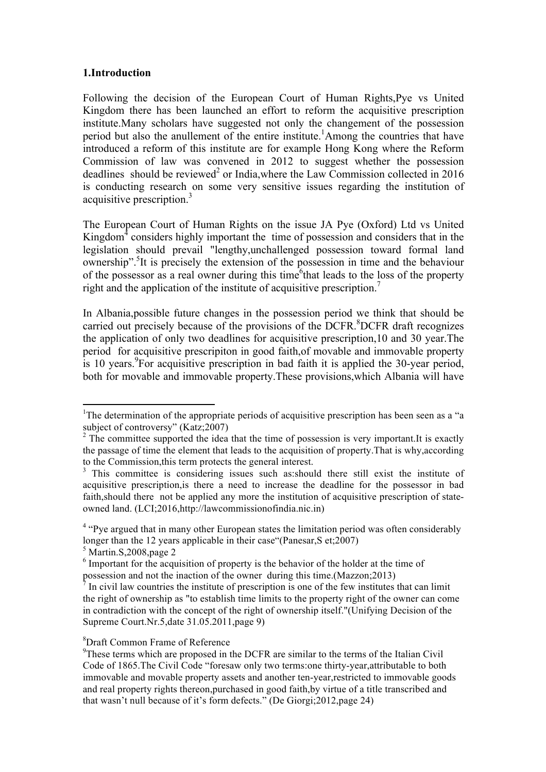### **1.Introduction**

Following the decision of the European Court of Human Rights,Pye vs United Kingdom there has been launched an effort to reform the acquisitive prescription institute.Many scholars have suggested not only the changement of the possession period but also the anullement of the entire institute. 1 Among the countries that have introduced a reform of this institute are for example Hong Kong where the Reform Commission of law was convened in 2012 to suggest whether the possession deadlines should be reviewed<sup>2</sup> or India, where the Law Commission collected in 2016 is conducting research on some very sensitive issues regarding the institution of acquisitive prescription.<sup>3</sup>

The European Court of Human Rights on the issue JA Pye (Oxford) Ltd vs United Kingdom $<sup>4</sup>$  considers highly important the time of possession and considers that in the</sup> legislation should prevail "lengthy,unchallenged possession toward formal land ownership".<sup>5</sup> It is precisely the extension of the possession in time and the behaviour of the possessor as a real owner during this time<sup>6</sup> that leads to the loss of the property right and the application of the institute of acquisitive prescription.<sup>7</sup>

In Albania,possible future changes in the possession period we think that should be carried out precisely because of the provisions of the DCFR. 8 DCFR draft recognizes the application of only two deadlines for acquisitive prescription,10 and 30 year.The period for acquisitive prescripiton in good faith,of movable and immovable property is 10 years. 9 For acquisitive prescription in bad faith it is applied the 30-year period, both for movable and immovable property.These provisions,which Albania will have

 $<sup>5</sup>$  Martin.S, 2008, page 2</sup>

<u> 1989 - Johann Stein, mars et al. 1989 - Anna ann an t-Anna ann an t-Anna ann an t-Anna ann an t-Anna ann an t-</u>

#### 8 Draft Common Frame of Reference

<sup>&</sup>lt;sup>1</sup>The determination of the appropriate periods of acquisitive prescription has been seen as a "a subject of controversy" (Katz;2007)

 $2^2$  The committee supported the idea that the time of possession is very important. It is exactly the passage of time the element that leads to the acquisition of property.That is why,according to the Commission,this term protects the general interest.

<sup>&</sup>lt;sup>3</sup> This committee is considering issues such as:should there still exist the institute of acquisitive prescription,is there a need to increase the deadline for the possessor in bad faith,should there not be applied any more the institution of acquisitive prescription of stateowned land. (LCI;2016,http://lawcommissionofindia.nic.in)

 $4 \text{ }$  "Pve argued that in many other European states the limitation period was often considerably longer than the 12 years applicable in their case "(Panesar, S et: 2007)

<sup>&</sup>lt;sup>6</sup> Important for the acquisition of property is the behavior of the holder at the time of possession and not the inaction of the owner during this time.(Mazzon;2013)

<sup>7</sup> In civil law countries the institute of prescription is one of the few institutes that can limit the right of ownership as "to establish time limits to the property right of the owner can come in contradiction with the concept of the right of ownership itself."(Unifying Decision of the Supreme Court.Nr.5,date 31.05.2011,page 9)

<sup>&</sup>lt;sup>9</sup>These terms which are proposed in the DCFR are similar to the terms of the Italian Civil Code of 1865.The Civil Code "foresaw only two terms:one thirty-year,attributable to both immovable and movable property assets and another ten-year,restricted to immovable goods and real property rights thereon,purchased in good faith,by virtue of a title transcribed and that wasn't null because of it's form defects." (De Giorgi;2012,page 24)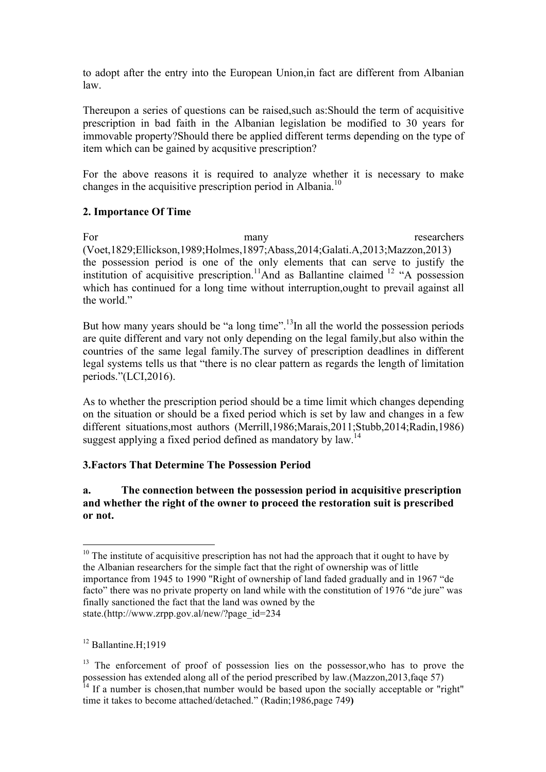to adopt after the entry into the European Union,in fact are different from Albanian law.

Thereupon a series of questions can be raised,such as:Should the term of acquisitive prescription in bad faith in the Albanian legislation be modified to 30 years for immovable property?Should there be applied different terms depending on the type of item which can be gained by acqusitive prescription?

For the above reasons it is required to analyze whether it is necessary to make changes in the acquisitive prescription period in Albania.<sup>10</sup>

## **2. Importance Of Time**

For many many researchers (Voet,1829;Ellickson,1989;Holmes,1897;Abass,2014;Galati.A,2013;Mazzon,2013) the possession period is one of the only elements that can serve to justify the institution of acquisitive prescription.<sup>11</sup>And as Ballantine claimed  $12$  "A possession which has continued for a long time without interruption, ought to prevail against all the world."

But how many years should be "a long time".<sup>13</sup>In all the world the possession periods are quite different and vary not only depending on the legal family,but also within the countries of the same legal family.The survey of prescription deadlines in different legal systems tells us that "there is no clear pattern as regards the length of limitation periods."(LCI,2016).

As to whether the prescription period should be a time limit which changes depending on the situation or should be a fixed period which is set by law and changes in a few different situations,most authors (Merrill,1986;Marais,2011;Stubb,2014;Radin,1986) suggest applying a fixed period defined as mandatory by law.<sup>14</sup>

# **3.Factors That Determine The Possession Period**

## **a. The connection between the possession period in acquisitive prescription and whether the right of the owner to proceed the restoration suit is prescribed or not.**

<u> 1989 - Johann Stein, mars et al. 1989 - Anna ann an t-Anna ann an t-Anna ann an t-Anna ann an t-Anna ann an t-</u>

 $10$  The institute of acquisitive prescription has not had the approach that it ought to have by the Albanian researchers for the simple fact that the right of ownership was of little importance from 1945 to 1990 "Right of ownership of land faded gradually and in 1967 "de facto" there was no private property on land while with the constitution of 1976 "de jure" was finally sanctioned the fact that the land was owned by the state.(http://www.zrpp.gov.al/new/?page\_id=234

<sup>&</sup>lt;sup>12</sup> Ballantine.H;1919

<sup>&</sup>lt;sup>13</sup> The enforcement of proof of possession lies on the possessor, who has to prove the possession has extended along all of the period prescribed by law.(Mazzon,2013,faqe 57) <sup>14</sup> If a number is chosen, that number would be based upon the socially acceptable or "right" time it takes to become attached/detached." (Radin;1986,page 749**)**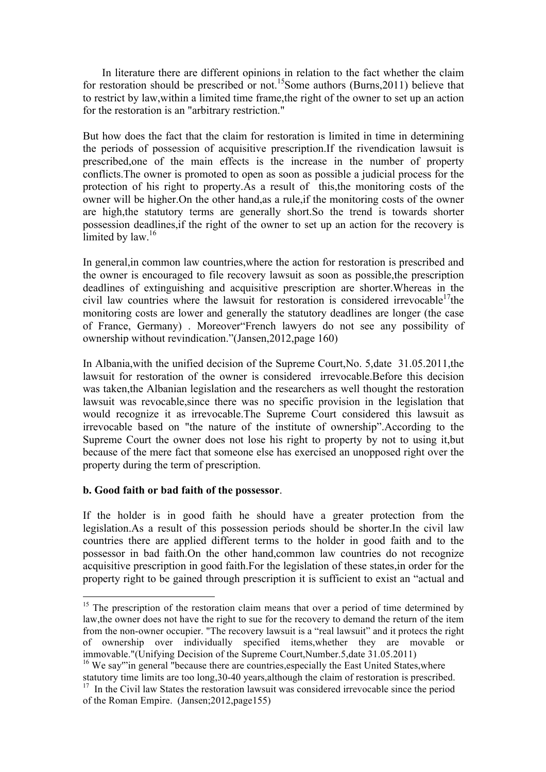In literature there are different opinions in relation to the fact whether the claim for restoration should be prescribed or not.<sup>15</sup>Some authors (Burns, 2011) believe that to restrict by law,within a limited time frame,the right of the owner to set up an action for the restoration is an "arbitrary restriction."

But how does the fact that the claim for restoration is limited in time in determining the periods of possession of acquisitive prescription.If the rivendication lawsuit is prescribed,one of the main effects is the increase in the number of property conflicts.The owner is promoted to open as soon as possible a judicial process for the protection of his right to property.As a result of this,the monitoring costs of the owner will be higher.On the other hand,as a rule,if the monitoring costs of the owner are high,the statutory terms are generally short.So the trend is towards shorter possession deadlines,if the right of the owner to set up an action for the recovery is limited by law.<sup>16</sup>

In general,in common law countries,where the action for restoration is prescribed and the owner is encouraged to file recovery lawsuit as soon as possible,the prescription deadlines of extinguishing and acquisitive prescription are shorter.Whereas in the civil law countries where the lawsuit for restoration is considered irrevocable<sup>17</sup>the monitoring costs are lower and generally the statutory deadlines are longer (the case of France, Germany) . Moreover"French lawyers do not see any possibility of ownership without revindication."(Jansen,2012,page 160)

In Albania,with the unified decision of the Supreme Court,No. 5,date 31.05.2011,the lawsuit for restoration of the owner is considered irrevocable.Before this decision was taken,the Albanian legislation and the researchers as well thought the restoration lawsuit was revocable,since there was no specific provision in the legislation that would recognize it as irrevocable.The Supreme Court considered this lawsuit as irrevocable based on "the nature of the institute of ownership".According to the Supreme Court the owner does not lose his right to property by not to using it,but because of the mere fact that someone else has exercised an unopposed right over the property during the term of prescription.

### **b. Good faith or bad faith of the possessor**.

 

If the holder is in good faith he should have a greater protection from the legislation.As a result of this possession periods should be shorter.In the civil law countries there are applied different terms to the holder in good faith and to the possessor in bad faith.On the other hand,common law countries do not recognize acquisitive prescription in good faith.For the legislation of these states,in order for the property right to be gained through prescription it is sufficient to exist an "actual and

 $15$  The prescription of the restoration claim means that over a period of time determined by law,the owner does not have the right to sue for the recovery to demand the return of the item from the non-owner occupier. "The recovery lawsuit is a "real lawsuit" and it protecs the right of ownership over individually specified items,whether they are movable or immovable."(Unifying Decision of the Supreme Court,Number.5,date 31.05.2011)

<sup>&</sup>lt;sup>16</sup> We say"'in general "because there are countries, especially the East United States, where statutory time limits are too long,30-40 years,although the claim of restoration is prescribed. <sup>17</sup> In the Civil law States the restoration lawsuit was considered irrevocable since the period of the Roman Empire. (Jansen;2012,page155)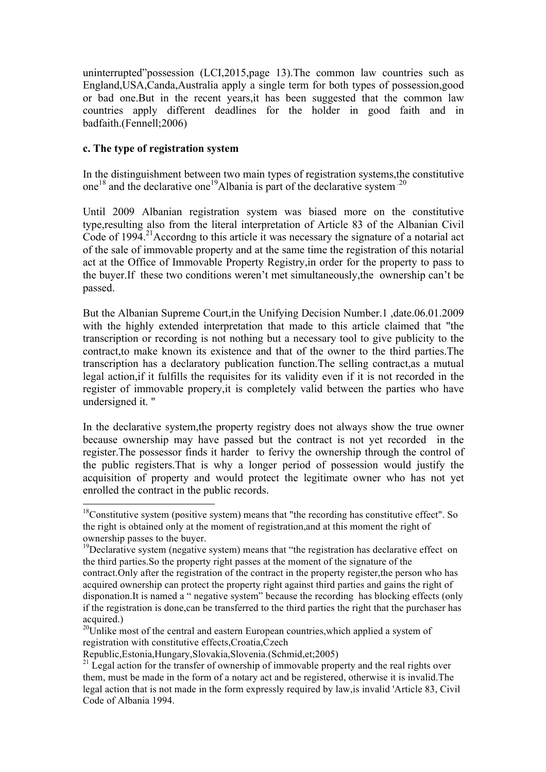uninterrupted"possession (LCI,2015,page 13).The common law countries such as England,USA,Canda,Australia apply a single term for both types of possession,good or bad one.But in the recent years,it has been suggested that the common law countries apply different deadlines for the holder in good faith and in badfaith.(Fennell;2006)

### **c. The type of registration system**

 

In the distinguishment between two main types of registration systems,the constitutive one<sup>18</sup> and the declarative one<sup>19</sup>Albania is part of the declarative system  $^{20}$ 

Until 2009 Albanian registration system was biased more on the constitutive type,resulting also from the literal interpretation of Article 83 of the Albanian Civil Code of 1994. 21Accordng to this article it was necessary the signature of a notarial act of the sale of immovable property and at the same time the registration of this notarial act at the Office of Immovable Property Registry,in order for the property to pass to the buyer.If these two conditions weren't met simultaneously,the ownership can't be passed.

But the Albanian Supreme Court,in the Unifying Decision Number.1 ,date.06.01.2009 with the highly extended interpretation that made to this article claimed that "the transcription or recording is not nothing but a necessary tool to give publicity to the contract,to make known its existence and that of the owner to the third parties.The transcription has a declaratory publication function.The selling contract,as a mutual legal action,if it fulfills the requisites for its validity even if it is not recorded in the register of immovable propery,it is completely valid between the parties who have undersigned it. "

In the declarative system,the property registry does not always show the true owner because ownership may have passed but the contract is not yet recorded in the register.The possessor finds it harder to ferivy the ownership through the control of the public registers.That is why a longer period of possession would justify the acquisition of property and would protect the legitimate owner who has not yet enrolled the contract in the public records.

 $18$ Constitutive system (positive system) means that "the recording has constitutive effect". So the right is obtained only at the moment of registration,and at this moment the right of ownership passes to the buyer.

 $19$ Declarative system (negative system) means that "the registration has declarative effect on the third parties.So the property right passes at the moment of the signature of the

contract.Only after the registration of the contract in the property register,the person who has acquired ownership can protect the property right against third parties and gains the right of disponation.It is named a " negative system" because the recording has blocking effects (only if the registration is done,can be transferred to the third parties the right that the purchaser has acquired.)

 $20$ Unlike most of the central and eastern European countries, which applied a system of registration with constitutive effects,Croatia,Czech

Republic,Estonia,Hungary,Slovakia,Slovenia.(Schmid,et;2005)

 $21$  Legal action for the transfer of ownership of immovable property and the real rights over them, must be made in the form of a notary act and be registered, otherwise it is invalid.The legal action that is not made in the form expressly required by law,is invalid 'Article 83, Civil Code of Albania 1994.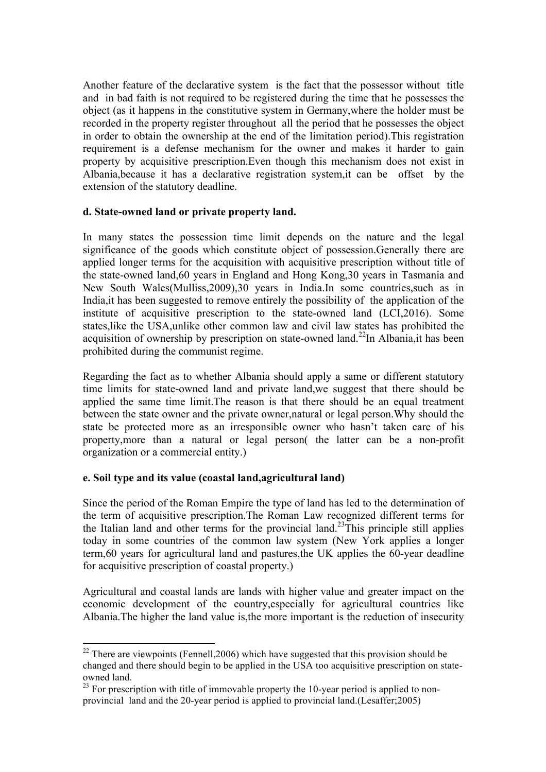Another feature of the declarative system is the fact that the possessor without title and in bad faith is not required to be registered during the time that he possesses the object (as it happens in the constitutive system in Germany,where the holder must be recorded in the property register throughout all the period that he possesses the object in order to obtain the ownership at the end of the limitation period).This registration requirement is a defense mechanism for the owner and makes it harder to gain property by acquisitive prescription.Even though this mechanism does not exist in Albania,because it has a declarative registration system,it can be offset by the extension of the statutory deadline.

### **d. State-owned land or private property land.**

In many states the possession time limit depends on the nature and the legal significance of the goods which constitute object of possession.Generally there are applied longer terms for the acquisition with acquisitive prescription without title of the state-owned land,60 years in England and Hong Kong,30 years in Tasmania and New South Wales(Mulliss,2009),30 years in India.In some countries,such as in India,it has been suggested to remove entirely the possibility of the application of the institute of acquisitive prescription to the state-owned land (LCI,2016). Some states,like the USA,unlike other common law and civil law states has prohibited the acquisition of ownership by prescription on state-owned land.<sup>22</sup>In Albania, it has been prohibited during the communist regime.

Regarding the fact as to whether Albania should apply a same or different statutory time limits for state-owned land and private land,we suggest that there should be applied the same time limit.The reason is that there should be an equal treatment between the state owner and the private owner,natural or legal person.Why should the state be protected more as an irresponsible owner who hasn't taken care of his property,more than a natural or legal person( the latter can be a non-profit organization or a commercial entity.)

## **e. Soil type and its value (coastal land,agricultural land)**

<u> 1989 - Johann Stein, mars et al. 1989 - Anna ann an t-Anna ann an t-Anna ann an t-Anna ann an t-Anna ann an t-</u>

Since the period of the Roman Empire the type of land has led to the determination of the term of acquisitive prescription.The Roman Law recognized different terms for the Italian land and other terms for the provincial land.<sup>23</sup>This principle still applies today in some countries of the common law system (New York applies a longer term,60 years for agricultural land and pastures,the UK applies the 60-year deadline for acquisitive prescription of coastal property.)

Agricultural and coastal lands are lands with higher value and greater impact on the economic development of the country,especially for agricultural countries like Albania.The higher the land value is,the more important is the reduction of insecurity

 $22$  There are viewpoints (Fennell, 2006) which have suggested that this provision should be changed and there should begin to be applied in the USA too acquisitive prescription on stateowned land.

 $^{23}$  For prescription with title of immovable property the 10-year period is applied to nonprovincial land and the 20-year period is applied to provincial land.(Lesaffer;2005)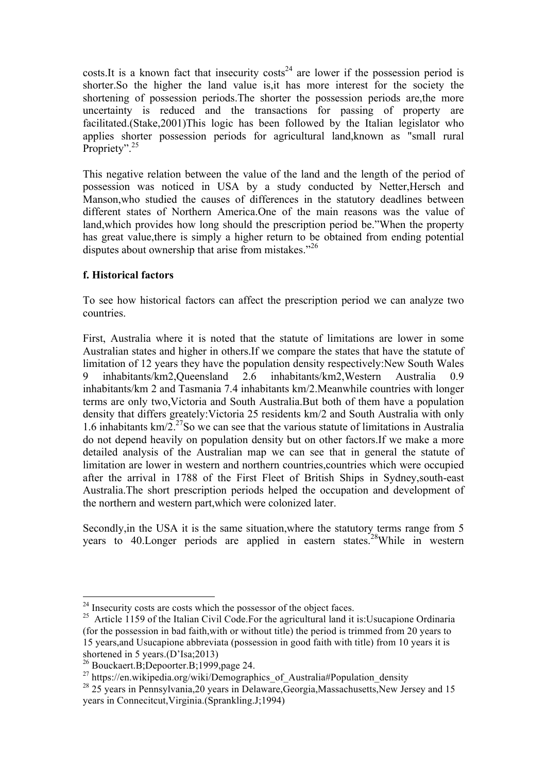costs.It is a known fact that insecurity costs<sup>24</sup> are lower if the possession period is shorter.So the higher the land value is,it has more interest for the society the shortening of possession periods.The shorter the possession periods are,the more uncertainty is reduced and the transactions for passing of property are facilitated.(Stake,2001)This logic has been followed by the Italian legislator who applies shorter possession periods for agricultural land,known as "small rural Propriety".<sup>25</sup>

This negative relation between the value of the land and the length of the period of possession was noticed in USA by a study conducted by Netter,Hersch and Manson,who studied the causes of differences in the statutory deadlines between different states of Northern America.One of the main reasons was the value of land,which provides how long should the prescription period be."When the property has great value,there is simply a higher return to be obtained from ending potential disputes about ownership that arise from mistakes."<sup>26</sup>

# **f. Historical factors**

To see how historical factors can affect the prescription period we can analyze two countries.

First, Australia where it is noted that the statute of limitations are lower in some Australian states and higher in others.If we compare the states that have the statute of limitation of 12 years they have the population density respectively:New South Wales 9 inhabitants/km2,Queensland 2.6 inhabitants/km2,Western Australia 0.9 inhabitants/km 2 and Tasmania 7.4 inhabitants km/2.Meanwhile countries with longer terms are only two,Victoria and South Australia.But both of them have a population density that differs greately:Victoria 25 residents km/2 and South Australia with only 1.6 inhabitants  $km/2$ <sup>27</sup>So we can see that the various statute of limitations in Australia do not depend heavily on population density but on other factors.If we make a more detailed analysis of the Australian map we can see that in general the statute of limitation are lower in western and northern countries,countries which were occupied after the arrival in 1788 of the First Fleet of British Ships in Sydney,south-east Australia.The short prescription periods helped the occupation and development of the northern and western part,which were colonized later.

Secondly,in the USA it is the same situation,where the statutory terms range from 5 years to 40. Longer periods are applied in eastern states.<sup>28</sup>While in western

 

 $24$  Insecurity costs are costs which the possessor of the object faces.

<sup>&</sup>lt;sup>25</sup> Article 1159 of the Italian Civil Code.For the agricultural land it is:Usucapione Ordinaria (for the possession in bad faith,with or without title) the period is trimmed from 20 years to 15 years,and Usucapione abbreviata (possession in good faith with title) from 10 years it is shortened in 5 years.(D'Isa;2013)

<sup>26</sup> Bouckaert.B;Depoorter.B;1999,page 24.

<sup>&</sup>lt;sup>27</sup> https://en.wikipedia.org/wiki/Demographics of Australia#Population density

 $^{28}$  25 years in Pennsylvania, 20 years in Delaware, Georgia, Massachusetts, New Jersey and 15 years in Connecitcut,Virginia.(Sprankling.J;1994)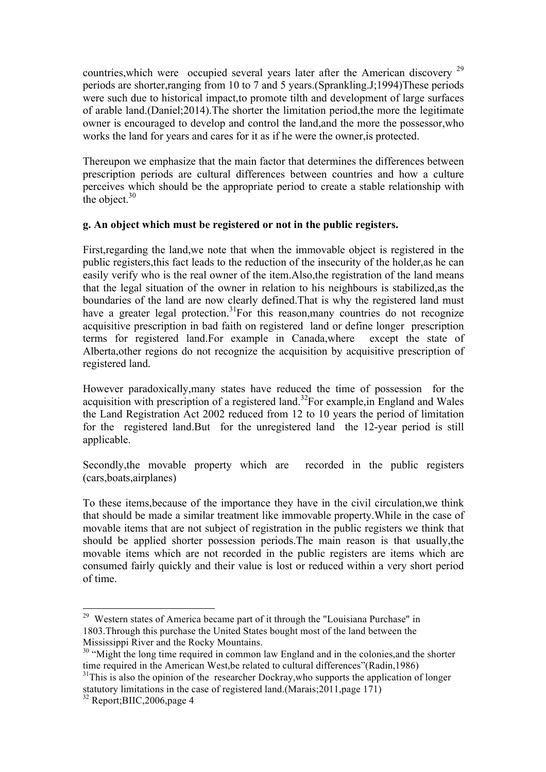countries, which were occupied several years later after the American discovery <sup>29</sup> periods are shorter,ranging from 10 to 7 and 5 years.(Sprankling.J;1994)These periods were such due to historical impact,to promote tilth and development of large surfaces of arable land.(Daniel;2014).The shorter the limitation period,the more the legitimate owner is encouraged to develop and control the land,and the more the possessor,who works the land for years and cares for it as if he were the owner,is protected.

Thereupon we emphasize that the main factor that determines the differences between prescription periods are cultural differences between countries and how a culture perceives which should be the appropriate period to create a stable relationship with the object. $30$ 

## **g. An object which must be registered or not in the public registers.**

First,regarding the land,we note that when the immovable object is registered in the public registers,this fact leads to the reduction of the insecurity of the holder,as he can easily verify who is the real owner of the item.Also,the registration of the land means that the legal situation of the owner in relation to his neighbours is stabilized,as the boundaries of the land are now clearly defined.That is why the registered land must have a greater legal protection.<sup>31</sup>For this reason,many countries do not recognize acquisitive prescription in bad faith on registered land or define longer prescription terms for registered land.For example in Canada,where except the state of Alberta,other regions do not recognize the acquisition by acquisitive prescription of registered land.

However paradoxically,many states have reduced the time of possession for the acquisition with prescription of a registered land. 32For example,in England and Wales the Land Registration Act 2002 reduced from 12 to 10 years the period of limitation for the registered land.But for the unregistered land the 12-year period is still applicable.

Secondly,the movable property which are recorded in the public registers (cars,boats,airplanes)

To these items,because of the importance they have in the civil circulation,we think that should be made a similar treatment like immovable property.While in the case of movable items that are not subject of registration in the public registers we think that should be applied shorter possession periods.The main reason is that usually,the movable items which are not recorded in the public registers are items which are consumed fairly quickly and their value is lost or reduced within a very short period of time.

<sup>&</sup>lt;sup>29</sup> Western states of America became part of it through the "Louisiana Purchase" in 1803.Through this purchase the United States bought most of the land between the Mississippi River and the Rocky Mountains.<br><sup>30</sup> "Might the long time required in common law England and in the colonies, and the shorter

time required in the American West,be related to cultural differences"(Radin,1986)

 $31$ This is also the opinion of the researcher Dockray, who supports the application of longer statutory limitations in the case of registered land.(Marais;  $2011$ , page 171)

<sup>&</sup>lt;sup>32</sup> Report;BIIC,2006,page 4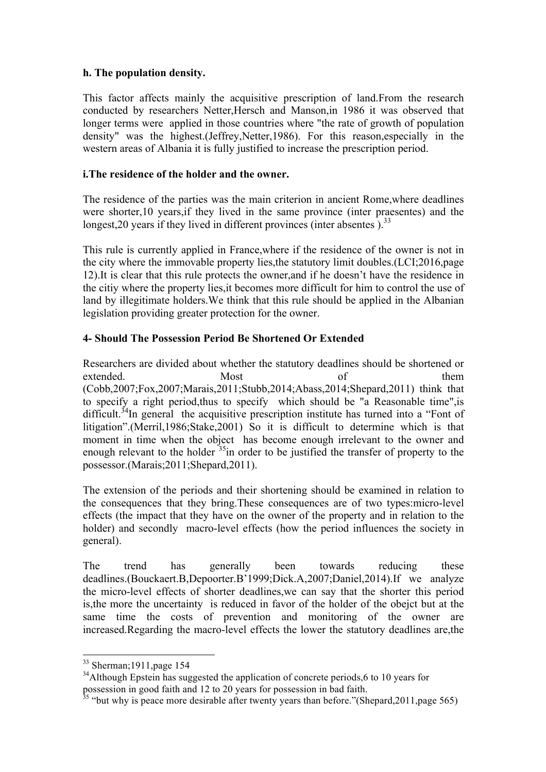## **h. The population density.**

This factor affects mainly the acquisitive prescription of land.From the research conducted by researchers Netter,Hersch and Manson,in 1986 it was observed that longer terms were applied in those countries where "the rate of growth of population density" was the highest.(Jeffrey,Netter,1986). For this reason,especially in the western areas of Albania it is fully justified to increase the prescription period.

### **i.The residence of the holder and the owner.**

The residence of the parties was the main criterion in ancient Rome,where deadlines were shorter,10 years,if they lived in the same province (inter praesentes) and the longest, 20 years if they lived in different provinces (inter absentes).<sup>33</sup>

This rule is currently applied in France,where if the residence of the owner is not in the city where the immovable property lies,the statutory limit doubles.(LCI;2016,page 12).It is clear that this rule protects the owner,and if he doesn't have the residence in the citiy where the property lies,it becomes more difficult for him to control the use of land by illegitimate holders.We think that this rule should be applied in the Albanian legislation providing greater protection for the owner.

## **4- Should The Possession Period Be Shortened Or Extended**

Researchers are divided about whether the statutory deadlines should be shortened or extended. Most of them (Cobb,2007;Fox,2007;Marais,2011;Stubb,2014;Abass,2014;Shepard,2011) think that to specify a right period,thus to specify which should be "a Reasonable time",is difficult.<sup>34</sup>In general the acquisitive prescription institute has turned into a "Font of litigation".(Merril,1986;Stake,2001) So it is difficult to determine which is that moment in time when the object has become enough irrelevant to the owner and enough relevant to the holder  $35$  in order to be justified the transfer of property to the possessor.(Marais;2011;Shepard,2011).

The extension of the periods and their shortening should be examined in relation to the consequences that they bring.These consequences are of two types:micro-level effects (the impact that they have on the owner of the property and in relation to the holder) and secondly macro-level effects (how the period influences the society in general).

The trend has generally been towards reducing these deadlines.(Bouckaert.B,Depoorter.B'1999;Dick.A,2007;Daniel,2014).If we analyze the micro-level effects of shorter deadlines,we can say that the shorter this period is,the more the uncertainty is reduced in favor of the holder of the obejct but at the same time the costs of prevention and monitoring of the owner are increased.Regarding the macro-level effects the lower the statutory deadlines are,the

<u> 1989 - Johann Stein, marwolaethau a bh</u>

<sup>33</sup> Sherman;1911,page 154

<sup>&</sup>lt;sup>34</sup>Although Epstein has suggested the application of concrete periods,6 to 10 years for possession in good faith and 12 to 20 years for possession in bad faith.

 $35$  "but why is peace more desirable after twenty years than before."(Shepard, 2011, page 565)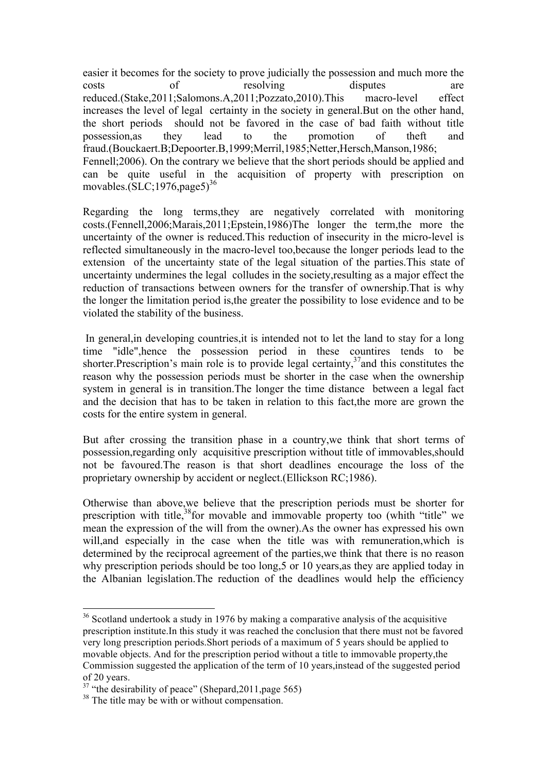easier it becomes for the society to prove judicially the possession and much more the costs of resolving disputes are reduced.(Stake,2011;Salomons.A,2011;Pozzato,2010).This macro-level effect increases the level of legal certainty in the society in general.But on the other hand, the short periods should not be favored in the case of bad faith without title possession,as they lead to the promotion of theft and fraud.(Bouckaert.B;Depoorter.B,1999;Merril,1985;Netter,Hersch,Manson,1986; Fennell;2006). On the contrary we believe that the short periods should be applied and can be quite useful in the acquisition of property with prescription on movables. $(SLC; 1976, \text{page5})^{36}$ 

Regarding the long terms,they are negatively correlated with monitoring costs.(Fennell,2006;Marais,2011;Epstein,1986)The longer the term,the more the uncertainty of the owner is reduced.This reduction of insecurity in the micro-level is reflected simultaneously in the macro-level too,because the longer periods lead to the extension of the uncertainty state of the legal situation of the parties.This state of uncertainty undermines the legal colludes in the society,resulting as a major effect the reduction of transactions between owners for the transfer of ownership.That is why the longer the limitation period is,the greater the possibility to lose evidence and to be violated the stability of the business.

In general, in developing countries, it is intended not to let the land to stay for a long time "idle",hence the possession period in these countires tends to be shorter. Prescription's main role is to provide legal certainty,  $37$  and this constitutes the reason why the possession periods must be shorter in the case when the ownership system in general is in transition.The longer the time distance between a legal fact and the decision that has to be taken in relation to this fact,the more are grown the costs for the entire system in general.

But after crossing the transition phase in a country,we think that short terms of possession,regarding only acquisitive prescription without title of immovables,should not be favoured.The reason is that short deadlines encourage the loss of the proprietary ownership by accident or neglect.(Ellickson RC;1986).

Otherwise than above,we believe that the prescription periods must be shorter for prescription with title,<sup>38</sup>for movable and immovable property too (whith "title" we mean the expression of the will from the owner).As the owner has expressed his own will, and especially in the case when the title was with remuneration, which is determined by the reciprocal agreement of the parties,we think that there is no reason why prescription periods should be too long,5 or 10 years,as they are applied today in the Albanian legislation.The reduction of the deadlines would help the efficiency

<sup>&</sup>lt;sup>36</sup> Scotland undertook a study in 1976 by making a comparative analysis of the acquisitive prescription institute.In this study it was reached the conclusion that there must not be favored very long prescription periods.Short periods of a maximum of 5 years should be applied to movable objects. And for the prescription period without a title to immovable property,the Commission suggested the application of the term of 10 years,instead of the suggested period of 20 years.

 $37$  "the desirability of peace" (Shepard, 2011, page 565)

<sup>&</sup>lt;sup>38</sup> The title may be with or without compensation.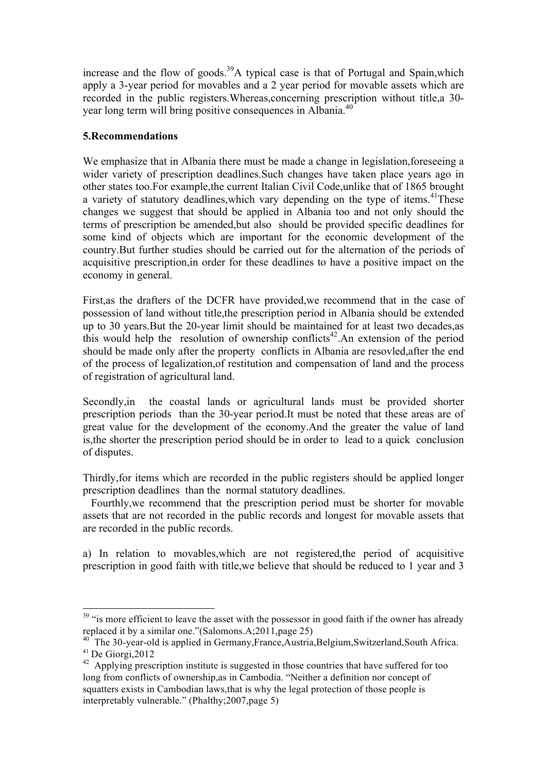increase and the flow of goods.<sup>39</sup>A typical case is that of Portugal and Spain, which apply a 3-year period for movables and a 2 year period for movable assets which are recorded in the public registers.Whereas,concerning prescription without title,a 30 year long term will bring positive consequences in Albania.<sup>40</sup>

### **5.Recommendations**

We emphasize that in Albania there must be made a change in legislation, fore seeing a wider variety of prescription deadlines.Such changes have taken place years ago in other states too.For example,the current Italian Civil Code,unlike that of 1865 brought a variety of statutory deadlines, which vary depending on the type of items.<sup>41</sup>These changes we suggest that should be applied in Albania too and not only should the terms of prescription be amended,but also should be provided specific deadlines for some kind of objects which are important for the economic development of the country.But further studies should be carried out for the alternation of the periods of acquisitive prescription,in order for these deadlines to have a positive impact on the economy in general.

First,as the drafters of the DCFR have provided,we recommend that in the case of possession of land without title,the prescription period in Albania should be extended up to 30 years.But the 20-year limit should be maintained for at least two decades,as this would help the resolution of ownership conflicts<sup>42</sup>. An extension of the period should be made only after the property conflicts in Albania are resovled,after the end of the process of legalization,of restitution and compensation of land and the process of registration of agricultural land.

Secondly,in the coastal lands or agricultural lands must be provided shorter prescription periods than the 30-year period.It must be noted that these areas are of great value for the development of the economy.And the greater the value of land is,the shorter the prescription period should be in order to lead to a quick conclusion of disputes.

Thirdly,for items which are recorded in the public registers should be applied longer prescription deadlines than the normal statutory deadlines.

 Fourthly,we recommend that the prescription period must be shorter for movable assets that are not recorded in the public records and longest for movable assets that are recorded in the public records.

a) In relation to movables,which are not registered,the period of acquisitive prescription in good faith with title,we believe that should be reduced to 1 year and 3

<sup>&</sup>lt;sup>39</sup> "is more efficient to leave the asset with the possessor in good faith if the owner has already replaced it by a similar one."(Salomons.A;2011,page 25)

<sup>40</sup> The 30-year-old is applied in Germany,France,Austria,Belgium,Switzerland,South Africa.  $41$  De Giorgi, 2012

<sup>&</sup>lt;sup>42</sup> Applying prescription institute is suggested in those countries that have suffered for too long from conflicts of ownership,as in Cambodia. "Neither a definition nor concept of squatters exists in Cambodian laws,that is why the legal protection of those people is interpretably vulnerable." (Phalthy;2007,page 5)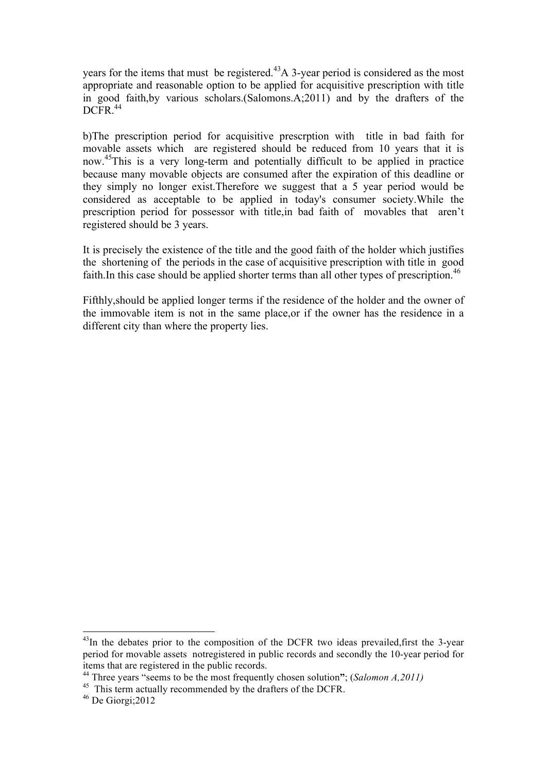years for the items that must be registered.<sup>43</sup>A 3-year period is considered as the most appropriate and reasonable option to be applied for acquisitive prescription with title in good faith,by various scholars.(Salomons.A;2011) and by the drafters of the DCFR.<sup>44</sup>

b)The prescription period for acquisitive prescrption with title in bad faith for movable assets which are registered should be reduced from 10 years that it is now. 45This is a very long-term and potentially difficult to be applied in practice because many movable objects are consumed after the expiration of this deadline or they simply no longer exist.Therefore we suggest that a 5 year period would be considered as acceptable to be applied in today's consumer society.While the prescription period for possessor with title,in bad faith of movables that aren't registered should be 3 years.

It is precisely the existence of the title and the good faith of the holder which justifies the shortening of the periods in the case of acquisitive prescription with title in good faith. In this case should be applied shorter terms than all other types of prescription.<sup>46</sup>

Fifthly,should be applied longer terms if the residence of the holder and the owner of the immovable item is not in the same place,or if the owner has the residence in a different city than where the property lies.

<u> 1989 - Johann Stein, marwolaethau a bh</u>

 $^{43}$ In the debates prior to the composition of the DCFR two ideas prevailed, first the 3-year period for movable assets notregistered in public records and secondly the 10-year period for items that are registered in the public records. <sup>44</sup> Three years "seems to be the most frequently chosen solution**"**; (*Salomon A,2011)*

<sup>&</sup>lt;sup>45</sup> This term actually recommended by the drafters of the DCFR.

 $46$  De Giorgi; 2012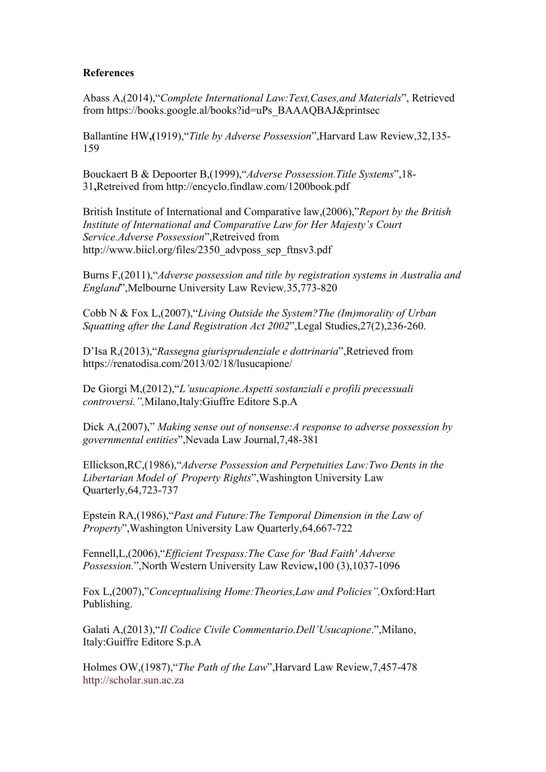### **References**

Abass A,(2014),"*Complete International Law:Text,Cases,and Materials*", Retrieved from https://books.google.al/books?id=uPs\_BAAAQBAJ&printsec

Ballantine HW**,(**1919),"*Title by Adverse Possession*",Harvard Law Review,32,135- 159

Bouckaert B & Depoorter B,(1999),"*Adverse Possession.Title Systems*",18- 31**,**Retreived from http://encyclo.findlaw.com/1200book.pdf

British Institute of International and Comparative law,(2006),"*Report by the British Institute of International and Comparative Law for Her Majesty's Court Service.Adverse Possession*",Retreived from http://www.biicl.org/files/2350\_advposs\_sep\_ftnsv3.pdf

Burns F,(2011),"*Adverse possession and title by registration systems in Australia and England*",Melbourne University Law Review*,*35,773-820

Cobb N & Fox L,(2007),"*Living Outside the System?The (Im)morality of Urban Squatting after the Land Registration Act 2002*",Legal Studies,27(2),236-260.

D'Isa R,(2013),"*Rassegna giurisprudenziale e dottrinaria*",Retrieved from https://renatodisa.com/2013/02/18/lusucapione/

De Giorgi M,(2012),"*L'usucapione.Aspetti sostanziali e profili precessuali controversi.",*Milano,Italy:Giuffre Editore S.p.A

Dick A,(2007)," *Making sense out of nonsense:A response to adverse possession by governmental entities*",Nevada Law Journal,7,48-381

Ellickson,RC,(1986),"*Adverse Possession and Perpetuities Law:Two Dents in the Libertarian Model of Property Rights*",Washington University Law Quarterly,64,723-737

Epstein RA,(1986),"*Past and Future:The Temporal Dimension in the Law of Property*",Washington University Law Quarterly,64,667-722

Fennell,L,(2006),"*Efficient Trespass:The Case for 'Bad Faith' Adverse Possession.*",North Western University Law Review**,**100 (3),1037-1096

Fox L,(2007),"*Conceptualising Home:Theories,Law and Policies",*Oxford:Hart Publishing.

Galati A,(2013),"*Il Codice Civile Commentario.Dell'Usucapione*.",Milano, Italy:Guiffre Editore S.p.A

Holmes OW,(1987),"*The Path of the Law*",Harvard Law Review,7,457-478 http://scholar.sun.ac.za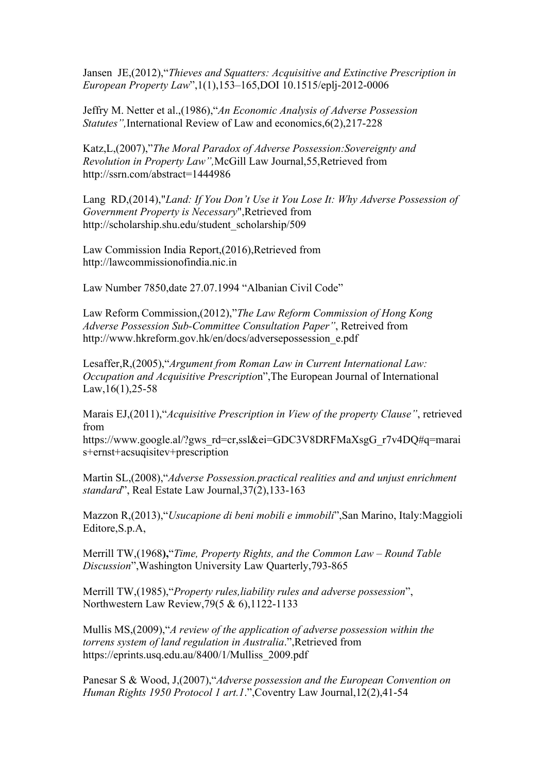Jansen JE,(2012),"*Thieves and Squatters: Acquisitive and Extinctive Prescription in European Property Law*",1(1),153–165,DOI 10.1515/eplj-2012-0006

Jeffry M. Netter et al.,(1986),"*An Economic Analysis of Adverse Possession Statutes",*International Review of Law and economics,6(2),217-228

Katz,L,(2007),"*The Moral Paradox of Adverse Possession:Sovereignty and Revolution in Property Law",*McGill Law Journal,55,Retrieved from http://ssrn.com/abstract=1444986

Lang RD,(2014),"*Land: If You Don't Use it You Lose It: Why Adverse Possession of Government Property is Necessary*",Retrieved from http://scholarship.shu.edu/student\_scholarship/509

Law Commission India Report,(2016),Retrieved from http://lawcommissionofindia.nic.in

Law Number 7850,date 27.07.1994 "Albanian Civil Code"

Law Reform Commission,(2012),"*The Law Reform Commission of Hong Kong Adverse Possession Sub-Committee Consultation Paper"*, Retreived from http://www.hkreform.gov.hk/en/docs/adversepossession\_e.pdf

Lesaffer,R,(2005),"*Argument from Roman Law in Current International Law: Occupation and Acquisitive Prescriptio*n",The European Journal of International Law,  $16(1)$ ,  $25-58$ 

Marais EJ,(2011),"*Acquisitive Prescription in View of the property Clause"*, retrieved from

https://www.google.al/?gws\_rd=cr,ssl&ei=GDC3V8DRFMaXsgG\_r7v4DQ#q=marai s+ernst+acsuqisitev+prescription

Martin SL,(2008),"*Adverse Possession.practical realities and and unjust enrichment standard*", Real Estate Law Journal,37(2),133-163

Mazzon R,(2013),"*Usucapione di beni mobili e immobili*",San Marino, Italy:Maggioli Editore,S.p.A,

Merrill TW,(1968**),**"*Time, Property Rights, and the Common Law – Round Table Discussion*",Washington University Law Quarterly,793-865

Merrill TW,(1985),"*Property rules,liability rules and adverse possession*", Northwestern Law Review,79(5 & 6),1122-1133

Mullis MS,(2009),"*A review of the application of adverse possession within the torrens system of land regulation in Australia*.",Retrieved from https://eprints.usq.edu.au/8400/1/Mulliss\_2009.pdf

Panesar S & Wood, J,(2007),"*Adverse possession and the European Convention on Human Rights 1950 Protocol 1 art.1*.",Coventry Law Journal,12(2),41-54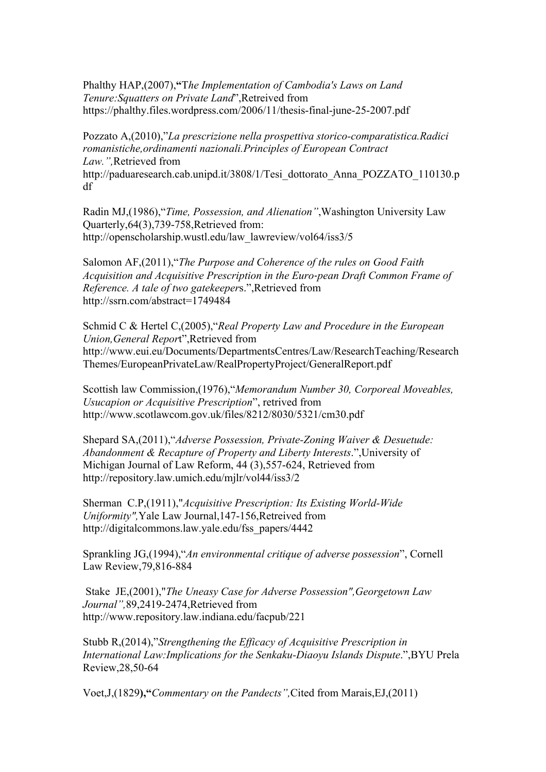Phalthy HAP,(2007),**"**T*he Implementation of Cambodia's Laws on Land Tenure:Squatters on Private Land*",Retreived from https://phalthy.files.wordpress.com/2006/11/thesis-final-june-25-2007.pdf

Pozzato A,(2010),"*La prescrizione nella prospettiva storico-comparatistica.Radici romanistiche,ordinamenti nazionali.Principles of European Contract Law.",*Retrieved from http://paduaresearch.cab.unipd.it/3808/1/Tesi\_dottorato\_Anna\_POZZATO\_110130.p df

Radin MJ,(1986),"*Time, Possession, and Alienation"*,Washington University Law Quarterly,64(3),739-758,Retrieved from: http://openscholarship.wustl.edu/law\_lawreview/vol64/iss3/5

Salomon AF,(2011),"*The Purpose and Coherence of the rules on Good Faith Acquisition and Acquisitive Prescription in the Euro-pean Draft Common Frame of Reference. A tale of two gatekeeper*s.",Retrieved from http://ssrn.com/abstract=1749484

Schmid C & Hertel C,(2005),"*Real Property Law and Procedure in the European Union,General Repor*t",Retrieved from http://www.eui.eu/Documents/DepartmentsCentres/Law/ResearchTeaching/Research Themes/EuropeanPrivateLaw/RealPropertyProject/GeneralReport.pdf

Scottish law Commission,(1976),"*Memorandum Number 30, Corporeal Moveables, Usucapion or Acquisitive Prescription*", retrived from http://www.scotlawcom.gov.uk/files/8212/8030/5321/cm30.pdf

Shepard SA,(2011),"*Adverse Possession, Private-Zoning Waiver & Desuetude: Abandonment & Recapture of Property and Liberty Interests*.",University of Michigan Journal of Law Reform, 44 (3),557-624, Retrieved from http://repository.law.umich.edu/mjlr/vol44/iss3/2

Sherman C.P,(1911),"*Acquisitive Prescription: Its Existing World-Wide Uniformity",*Yale Law Journal,147-156,Retreived from http://digitalcommons.law.yale.edu/fss\_papers/4442

Sprankling JG,(1994),"*An environmental critique of adverse possession*", Cornell Law Review,79,816-884

Stake JE,(2001),"*The Uneasy Case for Adverse Possession",Georgetown Law Journal",*89,2419-2474,Retrieved from http://www.repository.law.indiana.edu/facpub/221

Stubb R,(2014),"*Strengthening the Efficacy of Acquisitive Prescription in International Law:Implications for the Senkaku-Diaoyu Islands Dispute*.",BYU Prela Review,28,50-64

Voet,J,(1829**),"***Commentary on the Pandects",*Cited from Marais,EJ,(2011)